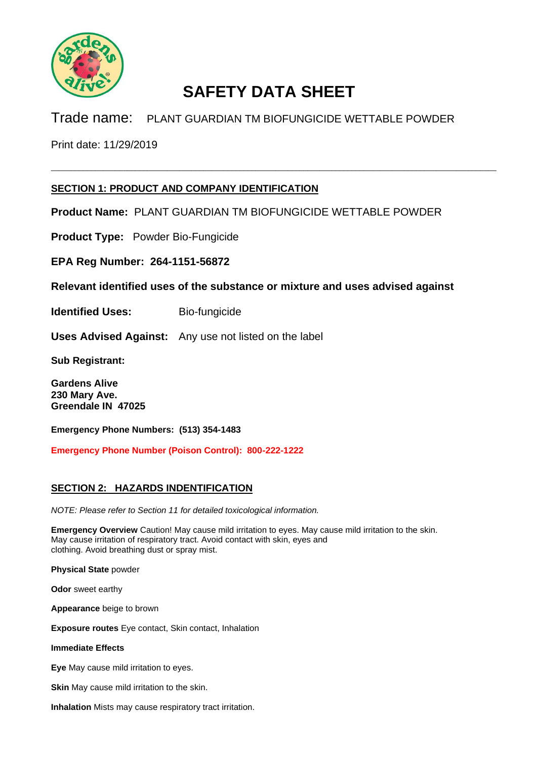

 $\_$  , and the set of the set of the set of the set of the set of the set of the set of the set of the set of the set of the set of the set of the set of the set of the set of the set of the set of the set of the set of th

Trade name: PLANT GUARDIAN TM BIOFUNGICIDE WETTABLE POWDER

Print date: 11/29/2019

### **SECTION 1: PRODUCT AND COMPANY IDENTIFICATION**

**Product Name:** PLANT GUARDIAN TM BIOFUNGICIDE WETTABLE POWDER

**Product Type:** Powder Bio-Fungicide

**EPA Reg Number: 264-1151-56872**

**Relevant identified uses of the substance or mixture and uses advised against**

**Identified Uses:** Bio-fungicide

**Uses Advised Against:** Any use not listed on the label

**Sub Registrant:**

**Gardens Alive 230 Mary Ave. Greendale IN 47025**

**Emergency Phone Numbers: (513) 354-1483**

**Emergency Phone Number (Poison Control): 800-222-1222**

### **SECTION 2: HAZARDS INDENTIFICATION**

*NOTE: Please refer to Section 11 for detailed toxicological information.*

**Emergency Overview** Caution! May cause mild irritation to eyes. May cause mild irritation to the skin. May cause irritation of respiratory tract. Avoid contact with skin, eyes and clothing. Avoid breathing dust or spray mist.

**Physical State** powder

**Odor** sweet earthy

**Appearance** beige to brown

**Exposure routes** Eye contact, Skin contact, Inhalation

**Immediate Effects**

**Eye** May cause mild irritation to eyes.

**Skin** May cause mild irritation to the skin.

**Inhalation** Mists may cause respiratory tract irritation.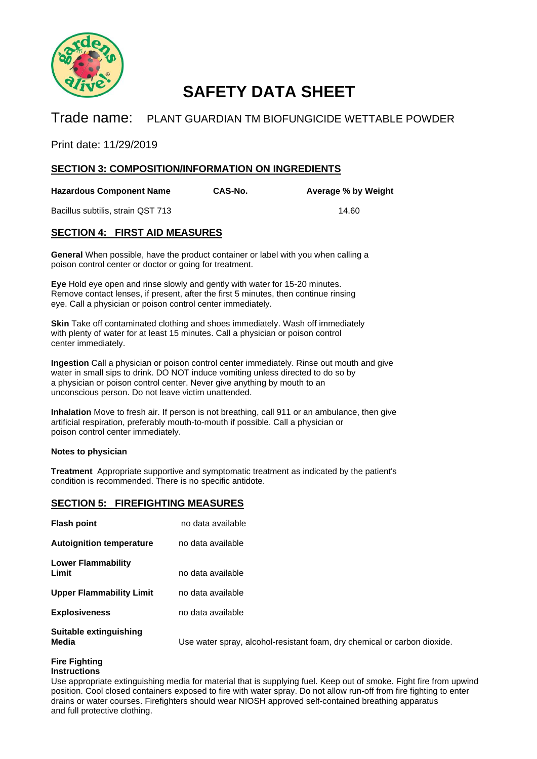

### Trade name: PLANT GUARDIAN TM BIOFUNGICIDE WETTABLE POWDER

Print date: 11/29/2019

### **SECTION 3: COMPOSITION/INFORMATION ON INGREDIENTS**

**Hazardous Component Name CAS-No. Average % by Weight**

Bacillus subtilis, strain QST 713 14.60

foam, dry chemical or carbon dioxide.

### **SECTION 4: FIRST AID MEASURES**

**General** When possible, have the product container or label with you when calling a poison control center or doctor or going for treatment.

**Eye** Hold eye open and rinse slowly and gently with water for 15-20 minutes. Remove contact lenses, if present, after the first 5 minutes, then continue rinsing eye. Call a physician or poison control center immediately.

**Skin** Take off contaminated clothing and shoes immediately. Wash off immediately with plenty of water for at least 15 minutes. Call a physician or poison control center immediately.

**Ingestion** Call a physician or poison control center immediately. Rinse out mouth and give water in small sips to drink. DO NOT induce vomiting unless directed to do so by a physician or poison control center. Never give anything by mouth to an unconscious person. Do not leave victim unattended.

**Inhalation** Move to fresh air. If person is not breathing, call 911 or an ambulance, then give artificial respiration, preferably mouth-to-mouth if possible. Call a physician or poison control center immediately.

#### **Notes to physician**

**Treatment** Appropriate supportive and symptomatic treatment as indicated by the patient's condition is recommended. There is no specific antidote.

### **SECTION 5: FIREFIGHTING MEASURES**

| <b>Flash point</b>              | no data available                  |
|---------------------------------|------------------------------------|
| <b>Autoignition temperature</b> | no data available                  |
| Lower Flammability<br>Limit     | no data available                  |
| <b>Upper Flammability Limit</b> | no data available                  |
| <b>Explosiveness</b>            | no data available                  |
| Suitable extinguishing<br>Media | Use water spray, alcohol-resistant |

# **Fire Fighting**

### **Instructions**

Use appropriate extinguishing media for material that is supplying fuel. Keep out of smoke. Fight fire from upwind position. Cool closed containers exposed to fire with water spray. Do not allow run-off from fire fighting to enter drains or water courses. Firefighters should wear NIOSH approved self-contained breathing apparatus and full protective clothing.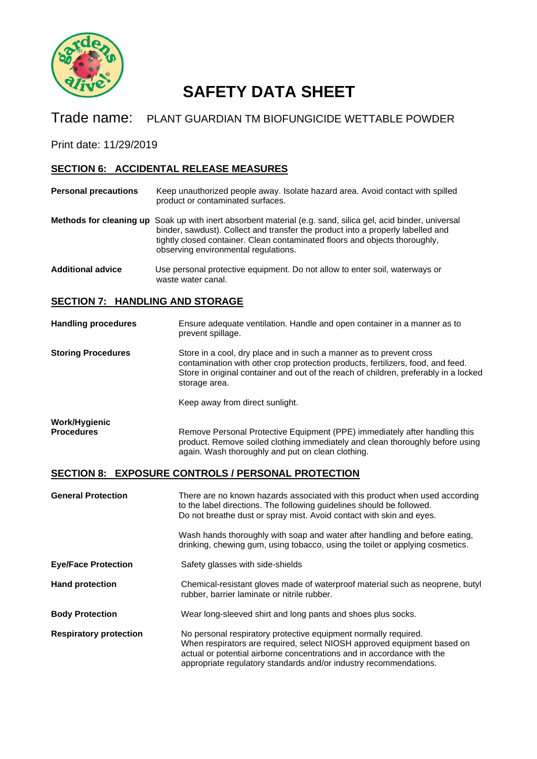

### Trade name: PLANT GUARDIAN TM BIOFUNGICIDE WETTABLE POWDER

Print date: 11/29/2019

### **SECTION 6: ACCIDENTAL RELEASE MEASURES**

- **Personal precautions** Keep unauthorized people away. Isolate hazard area. Avoid contact with spilled product or contaminated surfaces.
- **Methods for cleaning up** Soak up with inert absorbent material (e.g. sand, silica gel, acid binder, universal binder, sawdust). Collect and transfer the product into a properly labelled and tightly closed container. Clean contaminated floors and objects thoroughly, observing environmental regulations.
- **Additional advice** Use personal protective equipment. Do not allow to enter soil, waterways or waste water canal.

### **SECTION 7: HANDLING AND STORAGE**

#### **Handling procedures** Ensure adequate ventilation. Handle and open container in a manner as to prevent spillage.

**Storing Procedures** Store in a cool, dry place and in such a manner as to prevent cross contamination with other crop protection products, fertilizers, food, and feed. Store in original container and out of the reach of children, preferably in a locked storage area.

Keep away from direct sunlight.

| Work/Hygienic     |  |
|-------------------|--|
| <b>Procedures</b> |  |

Remove Personal Protective Equipment (PPE) immediately after handling this product. Remove soiled clothing immediately and clean thoroughly before using again. Wash thoroughly and put on clean clothing.

### **SECTION 8: EXPOSURE CONTROLS / PERSONAL PROTECTION**

| <b>General Protection</b>     | There are no known hazards associated with this product when used according<br>to the label directions. The following guidelines should be followed.<br>Do not breathe dust or spray mist. Avoid contact with skin and eyes.<br>Wash hands thoroughly with soap and water after handling and before eating,<br>drinking, chewing gum, using tobacco, using the toilet or applying cosmetics. |  |
|-------------------------------|----------------------------------------------------------------------------------------------------------------------------------------------------------------------------------------------------------------------------------------------------------------------------------------------------------------------------------------------------------------------------------------------|--|
| <b>Eye/Face Protection</b>    | Safety glasses with side-shields                                                                                                                                                                                                                                                                                                                                                             |  |
| <b>Hand protection</b>        | Chemical-resistant gloves made of waterproof material such as neoprene, butyl<br>rubber, barrier laminate or nitrile rubber.                                                                                                                                                                                                                                                                 |  |
| <b>Body Protection</b>        | Wear long-sleeved shirt and long pants and shoes plus socks.                                                                                                                                                                                                                                                                                                                                 |  |
| <b>Respiratory protection</b> | No personal respiratory protective equipment normally required.<br>When respirators are required, select NIOSH approved equipment based on<br>actual or potential airborne concentrations and in accordance with the<br>appropriate regulatory standards and/or industry recommendations.                                                                                                    |  |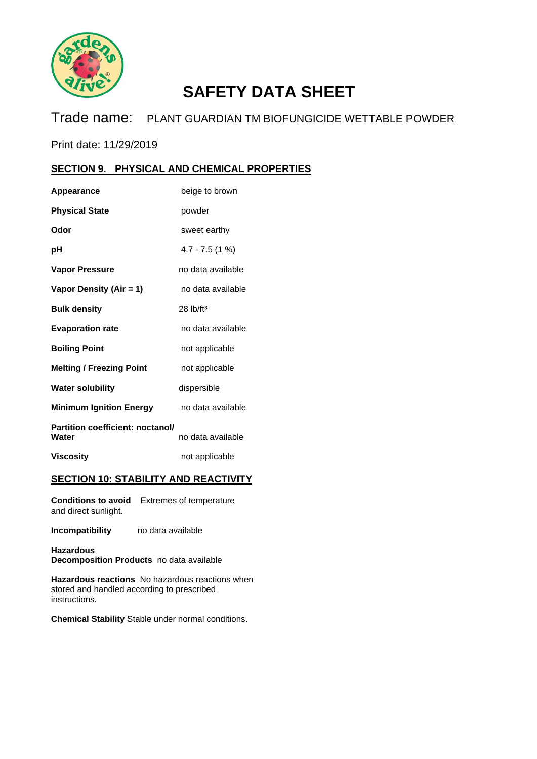

Trade name: PLANT GUARDIAN TM BIOFUNGICIDE WETTABLE POWDER

Print date: 11/29/2019

### **SECTION 9. PHYSICAL AND CHEMICAL PROPERTIES**

| Appearance                                | beige to brown          |
|-------------------------------------------|-------------------------|
| <b>Physical State</b>                     | powder                  |
| Odor                                      | sweet earthy            |
| рH                                        | $4.7 - 7.5(1%)$         |
| <b>Vapor Pressure</b>                     | no data available       |
| Vapor Density (Air = 1)                   | no data available       |
| <b>Bulk density</b>                       | $28$ lb/ft <sup>3</sup> |
| <b>Evaporation rate</b>                   | no data available       |
| <b>Boiling Point</b>                      | not applicable          |
| <b>Melting / Freezing Point</b>           | not applicable          |
| <b>Water solubility</b>                   | dispersible             |
| <b>Minimum Ignition Energy</b>            | no data available       |
| Partition coefficient: noctanol/<br>Water | no data available       |
| <b>Viscosity</b>                          | not applicable          |

### **SECTION 10: STABILITY AND REACTIVITY**

**Conditions to avoid** Extremes of temperature and direct sunlight.

**Incompatibility** no data available

**Hazardous Decomposition Products** no data available

**Hazardous reactions** No hazardous reactions when stored and handled according to prescribed instructions.

**Chemical Stability** Stable under normal conditions.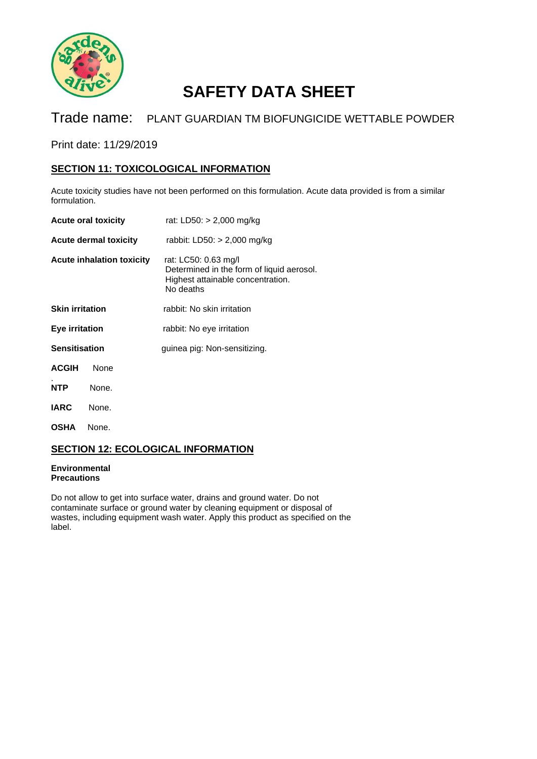

## Trade name: PLANT GUARDIAN TM BIOFUNGICIDE WETTABLE POWDER

Print date: 11/29/2019

### **SECTION 11: TOXICOLOGICAL INFORMATION**

Acute toxicity studies have not been performed on this formulation. Acute data provided is from a similar formulation.

|                              | <b>Acute oral toxicity</b>       | rat: LD50: > 2,000 mg/kg                                                                                            |
|------------------------------|----------------------------------|---------------------------------------------------------------------------------------------------------------------|
| <b>Acute dermal toxicity</b> |                                  | rabbit: LD50: $>$ 2,000 mg/kg                                                                                       |
|                              | <b>Acute inhalation toxicity</b> | rat: LC50: 0.63 mg/l<br>Determined in the form of liquid aerosol.<br>Highest attainable concentration.<br>No deaths |
| <b>Skin irritation</b>       |                                  | rabbit: No skin irritation                                                                                          |
| Eye irritation               |                                  | rabbit: No eye irritation                                                                                           |
| <b>Sensitisation</b>         |                                  | guinea pig: Non-sensitizing.                                                                                        |
| <b>ACGIH</b>                 | None                             |                                                                                                                     |
| <b>NTP</b>                   | None.                            |                                                                                                                     |
| <b>IARC</b>                  | None.                            |                                                                                                                     |
| <b>OSHA</b>                  | None.                            |                                                                                                                     |

### **SECTION 12: ECOLOGICAL INFORMATION**

#### **Environmental Precautions**

Do not allow to get into surface water, drains and ground water. Do not contaminate surface or ground water by cleaning equipment or disposal of wastes, including equipment wash water. Apply this product as specified on the label.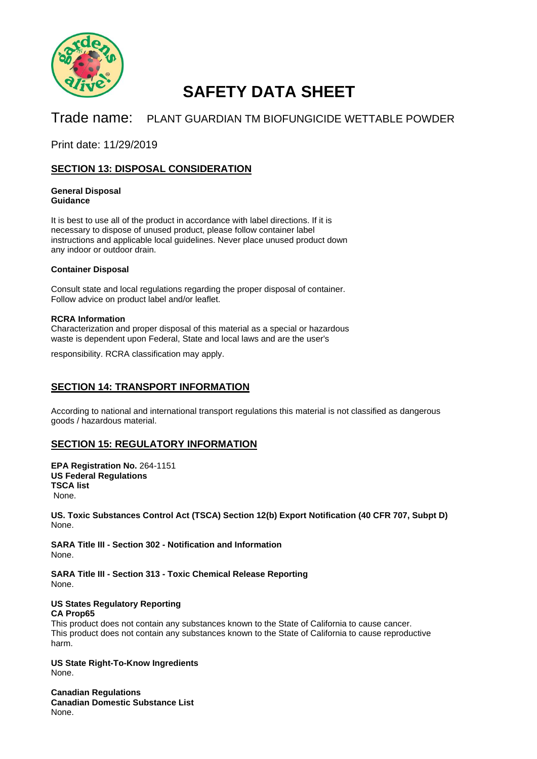

## Trade name: PLANT GUARDIAN TM BIOFUNGICIDE WETTABLE POWDER

Print date: 11/29/2019

### **SECTION 13: DISPOSAL CONSIDERATION**

#### **General Disposal Guidance**

It is best to use all of the product in accordance with label directions. If it is necessary to dispose of unused product, please follow container label instructions and applicable local guidelines. Never place unused product down any indoor or outdoor drain.

#### **Container Disposal**

Consult state and local regulations regarding the proper disposal of container. Follow advice on product label and/or leaflet.

#### **RCRA Information**

Characterization and proper disposal of this material as a special or hazardous waste is dependent upon Federal, State and local laws and are the user's

responsibility. RCRA classification may apply.

### **SECTION 14: TRANSPORT INFORMATION**

According to national and international transport regulations this material is not classified as dangerous goods / hazardous material.

### **SECTION 15: REGULATORY INFORMATION**

**EPA Registration No.** 264-1151 **US Federal Regulations TSCA list**  None.

**US. Toxic Substances Control Act (TSCA) Section 12(b) Export Notification (40 CFR 707, Subpt D)** None.

**SARA Title III - Section 302 - Notification and Information** None.

**SARA Title III - Section 313 - Toxic Chemical Release Reporting** None.

#### **US States Regulatory Reporting CA Prop65**

This product does not contain any substances known to the State of California to cause cancer. This product does not contain any substances known to the State of California to cause reproductive harm.

**US State Right-To-Know Ingredients** None.

**Canadian Regulations Canadian Domestic Substance List** None.